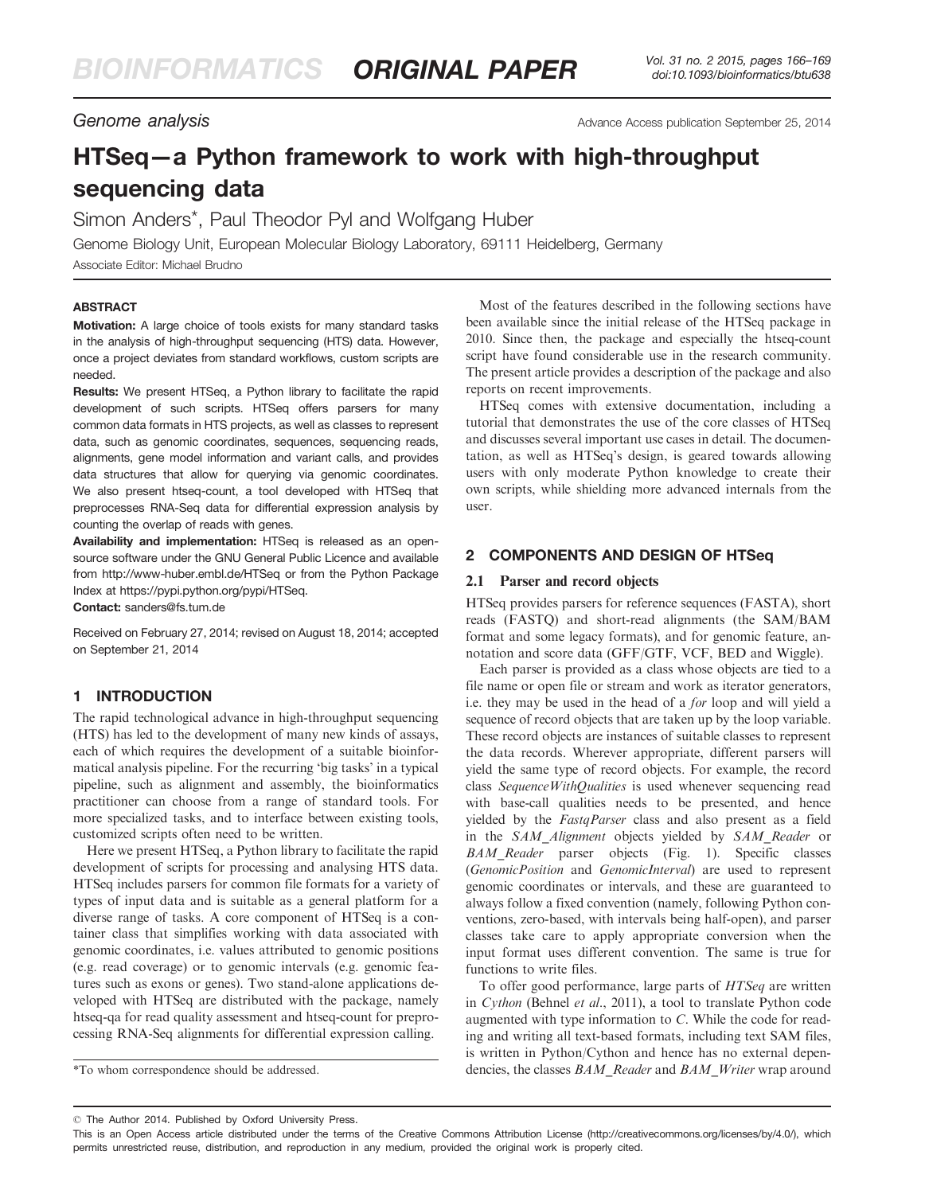Genome analysis **Advance Access publication September 25, 2014** Advance Access publication September 25, 2014

# HTSeq—a Python framework to work with high-throughput sequencing data

Simon Anders\*, Paul Theodor Pyl and Wolfgang Huber

Genome Biology Unit, European Molecular Biology Laboratory, 69111 Heidelberg, Germany Associate Editor: Michael Brudno

# ABSTRACT

Motivation: A large choice of tools exists for many standard tasks in the analysis of high-throughput sequencing (HTS) data. However, once a project deviates from standard workflows, custom scripts are needed.

Results: We present HTSeq, a Python library to facilitate the rapid development of such scripts. HTSeq offers parsers for many common data formats in HTS projects, as well as classes to represent data, such as genomic coordinates, sequences, sequencing reads, alignments, gene model information and variant calls, and provides data structures that allow for querying via genomic coordinates. We also present htseq-count, a tool developed with HTSeq that preprocesses RNA-Seq data for differential expression analysis by counting the overlap of reads with genes.

Availability and implementation: HTSeq is released as an opensource software under the GNU General Public Licence and available from<http://www-huber.embl.de/HTSeq> or from the Python Package Index at [https://pypi.python.org/pypi/HTSeq.](https://pypi.python.org/pypi/HTSeq)

Contact: [sanders@fs.tum.de](mailto:sanders@fs.tum.de)

Received on February 27, 2014; revised on August 18, 2014; accepted on September 21, 2014

# 1 INTRODUCTION

The rapid technological advance in high-throughput sequencing (HTS) has led to the development of many new kinds of assays, each of which requires the development of a suitable bioinformatical analysis pipeline. For the recurring 'big tasks' in a typical pipeline, such as alignment and assembly, the bioinformatics practitioner can choose from a range of standard tools. For more specialized tasks, and to interface between existing tools, customized scripts often need to be written.

Here we present HTSeq, a Python library to facilitate the rapid development of scripts for processing and analysing HTS data. HTSeq includes parsers for common file formats for a variety of types of input data and is suitable as a general platform for a diverse range of tasks. A core component of HTSeq is a container class that simplifies working with data associated with genomic coordinates, i.e. values attributed to genomic positions (e.g. read coverage) or to genomic intervals (e.g. genomic features such as exons or genes). Two stand-alone applications developed with HTSeq are distributed with the package, namely htseq-qa for read quality assessment and htseq-count for preprocessing RNA-Seq alignments for differential expression calling.

Most of the features described in the following sections have been available since the initial release of the HTSeq package in 2010. Since then, the package and especially the htseq-count script have found considerable use in the research community. The present article provides a description of the package and also reports on recent improvements.

HTSeq comes with extensive documentation, including a tutorial that demonstrates the use of the core classes of HTSeq and discusses several important use cases in detail. The documentation, as well as HTSeq's design, is geared towards allowing users with only moderate Python knowledge to create their own scripts, while shielding more advanced internals from the user.

# 2 COMPONENTS AND DESIGN OF HTSeq

# 2.1 Parser and record objects

HTSeq provides parsers for reference sequences (FASTA), short reads (FASTQ) and short-read alignments (the SAM/BAM format and some legacy formats), and for genomic feature, annotation and score data (GFF/GTF, VCF, BED and Wiggle).

Each parser is provided as a class whose objects are tied to a file name or open file or stream and work as iterator generators, i.e. they may be used in the head of a for loop and will yield a sequence of record objects that are taken up by the loop variable. These record objects are instances of suitable classes to represent the data records. Wherever appropriate, different parsers will yield the same type of record objects. For example, the record class SequenceWithQualities is used whenever sequencing read with base-call qualities needs to be presented, and hence yielded by the FastqParser class and also present as a field in the SAM\_Alignment objects yielded by SAM\_Reader or BAM\_Reader parser objects [\(Fig. 1\)](#page-1-0). Specific classes (GenomicPosition and GenomicInterval) are used to represent genomic coordinates or intervals, and these are guaranteed to always follow a fixed convention (namely, following Python conventions, zero-based, with intervals being half-open), and parser classes take care to apply appropriate conversion when the input format uses different convention. The same is true for functions to write files.

To offer good performance, large parts of HTSeq are written in Cython ([Behnel](#page-3-0) et al., 2011), a tool to translate Python code augmented with type information to C. While the code for reading and writing all text-based formats, including text SAM files, is written in Python/Cython and hence has no external depen- \*To whom correspondence should be addressed. dencies, the classes BAM\_Reader and BAM\_Writer wrap around

<sup>-</sup> The Author 2014. Published by Oxford University Press.

This is an Open Access article distributed under the terms of the Creative Commons Attribution License [\(http://creativecommons.org/licenses/by/4.0/\)](XPath error Undefined namespace prefix), which permits unrestricted reuse, distribution, and reproduction in any medium, provided the original work is properly cited.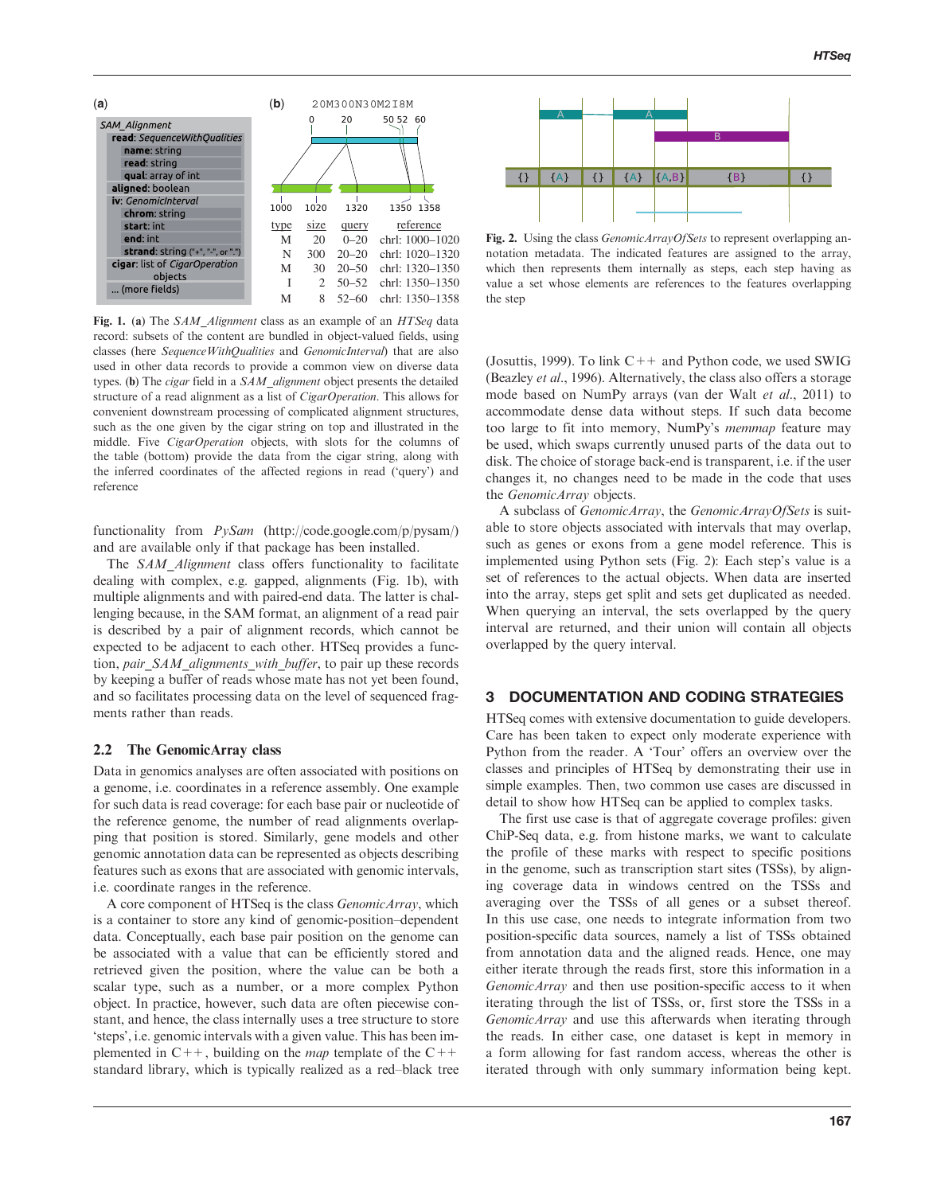<span id="page-1-0"></span>

Fig. 1. (a) The SAM\_Alignment class as an example of an HTSeq data record: subsets of the content are bundled in object-valued fields, using classes (here Sequence WithQualities and GenomicInterval) that are also used in other data records to provide a common view on diverse data types. (b) The *cigar* field in a SAM alignment object presents the detailed structure of a read alignment as a list of CigarOperation. This allows for convenient downstream processing of complicated alignment structures, such as the one given by the cigar string on top and illustrated in the middle. Five CigarOperation objects, with slots for the columns of the table (bottom) provide the data from the cigar string, along with the inferred coordinates of the affected regions in read ('query') and reference

functionality from PySam ([http://code.google.com/p/pysam/\)](http://code.google.com/p/pysam/) and are available only if that package has been installed.

The SAM Alignment class offers functionality to facilitate dealing with complex, e.g. gapped, alignments (Fig. 1b), with multiple alignments and with paired-end data. The latter is challenging because, in the SAM format, an alignment of a read pair is described by a pair of alignment records, which cannot be expected to be adjacent to each other. HTSeq provides a function, pair SAM alignments with buffer, to pair up these records by keeping a buffer of reads whose mate has not yet been found, and so facilitates processing data on the level of sequenced fragments rather than reads.

### 2.2 The GenomicArray class

Data in genomics analyses are often associated with positions on a genome, i.e. coordinates in a reference assembly. One example for such data is read coverage: for each base pair or nucleotide of the reference genome, the number of read alignments overlapping that position is stored. Similarly, gene models and other genomic annotation data can be represented as objects describing features such as exons that are associated with genomic intervals, i.e. coordinate ranges in the reference.

A core component of HTSeq is the class GenomicArray, which is a container to store any kind of genomic-position–dependent data. Conceptually, each base pair position on the genome can be associated with a value that can be efficiently stored and retrieved given the position, where the value can be both a scalar type, such as a number, or a more complex Python object. In practice, however, such data are often piecewise constant, and hence, the class internally uses a tree structure to store 'steps', i.e. genomic intervals with a given value. This has been implemented in  $C++$ , building on the *map* template of the  $C++$ standard library, which is typically realized as a red–black tree



Fig. 2. Using the class *Genomic Array Of Sets* to represent overlapping annotation metadata. The indicated features are assigned to the array, which then represents them internally as steps, each step having as value a set whose elements are references to the features overlapping the step

([Josuttis, 1999](#page-3-0)). To link  $C++$  and Python code, we used SWIG ([Beazley](#page-3-0) et al., 1996). Alternatively, the class also offers a storage mode based on NumPy arrays [\(van der Walt](#page-3-0) et al., 2011) to accommodate dense data without steps. If such data become too large to fit into memory, NumPy's memmap feature may be used, which swaps currently unused parts of the data out to disk. The choice of storage back-end is transparent, i.e. if the user changes it, no changes need to be made in the code that uses the GenomicArray objects.

A subclass of GenomicArray, the GenomicArrayOfSets is suitable to store objects associated with intervals that may overlap, such as genes or exons from a gene model reference. This is implemented using Python sets (Fig. 2): Each step's value is a set of references to the actual objects. When data are inserted into the array, steps get split and sets get duplicated as needed. When querying an interval, the sets overlapped by the query interval are returned, and their union will contain all objects overlapped by the query interval.

# 3 DOCUMENTATION AND CODING STRATEGIES

HTSeq comes with extensive documentation to guide developers. Care has been taken to expect only moderate experience with Python from the reader. A 'Tour' offers an overview over the classes and principles of HTSeq by demonstrating their use in simple examples. Then, two common use cases are discussed in detail to show how HTSeq can be applied to complex tasks.

The first use case is that of aggregate coverage profiles: given ChiP-Seq data, e.g. from histone marks, we want to calculate the profile of these marks with respect to specific positions in the genome, such as transcription start sites (TSSs), by aligning coverage data in windows centred on the TSSs and averaging over the TSSs of all genes or a subset thereof. In this use case, one needs to integrate information from two position-specific data sources, namely a list of TSSs obtained from annotation data and the aligned reads. Hence, one may either iterate through the reads first, store this information in a GenomicArray and then use position-specific access to it when iterating through the list of TSSs, or, first store the TSSs in a GenomicArray and use this afterwards when iterating through the reads. In either case, one dataset is kept in memory in a form allowing for fast random access, whereas the other is iterated through with only summary information being kept.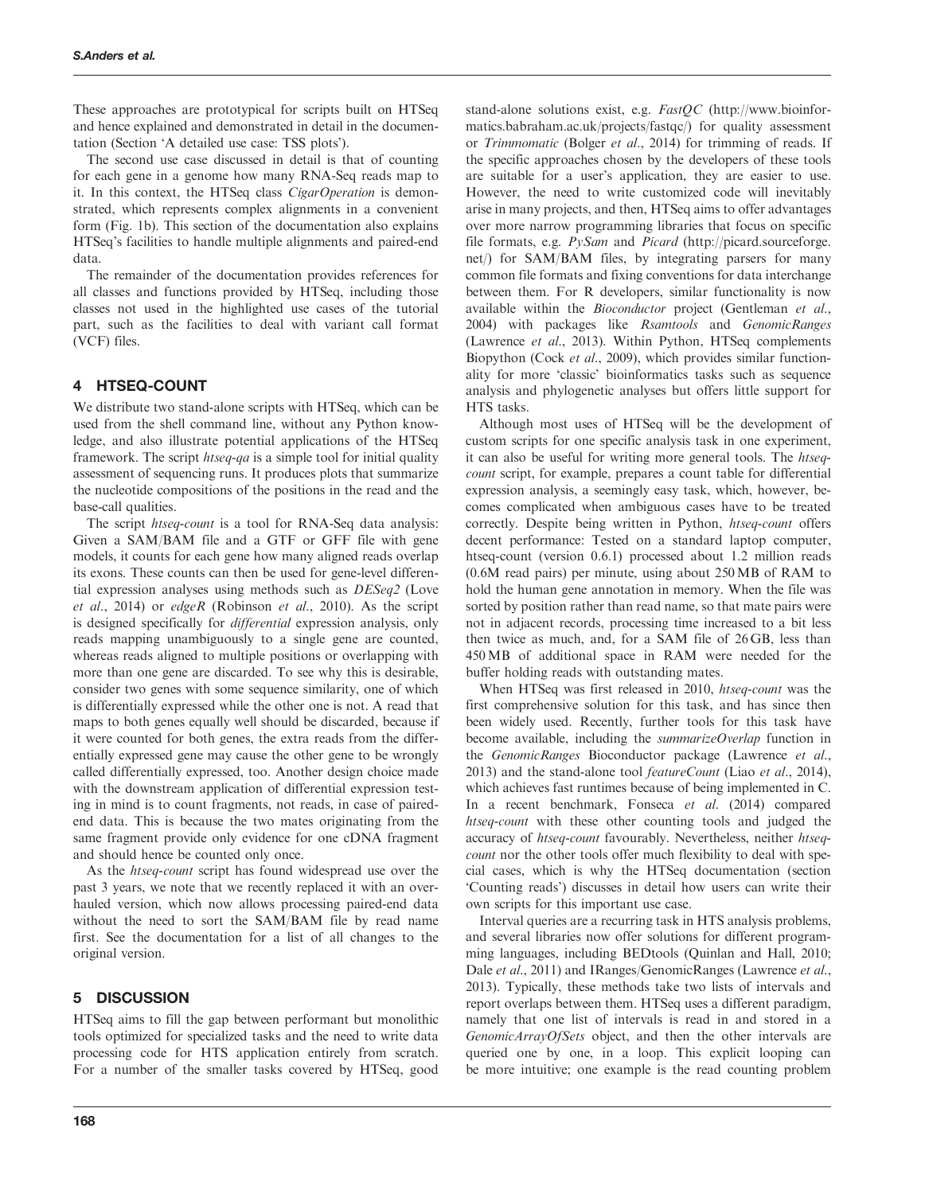These approaches are prototypical for scripts built on HTSeq and hence explained and demonstrated in detail in the documentation (Section 'A detailed use case: TSS plots').

The second use case discussed in detail is that of counting for each gene in a genome how many RNA-Seq reads map to it. In this context, the HTSeq class CigarOperation is demonstrated, which represents complex alignments in a convenient form ([Fig. 1](#page-1-0)b). This section of the documentation also explains HTSeq's facilities to handle multiple alignments and paired-end data.

The remainder of the documentation provides references for all classes and functions provided by HTSeq, including those classes not used in the highlighted use cases of the tutorial part, such as the facilities to deal with variant call format (VCF) files.

# 4 HTSEQ-COUNT

We distribute two stand-alone scripts with HTSeq, which can be used from the shell command line, without any Python knowledge, and also illustrate potential applications of the HTSeq framework. The script *htseq-qa* is a simple tool for initial quality assessment of sequencing runs. It produces plots that summarize the nucleotide compositions of the positions in the read and the base-call qualities.

The script htseq-count is a tool for RNA-Seq data analysis: Given a SAM/BAM file and a GTF or GFF file with gene models, it counts for each gene how many aligned reads overlap its exons. These counts can then be used for gene-level differential expression analyses using methods such as DESeq2 ([Love](#page-3-0) et al[., 2014](#page-3-0)) or edgeR [\(Robinson](#page-3-0) et al., 2010). As the script is designed specifically for differential expression analysis, only reads mapping unambiguously to a single gene are counted, whereas reads aligned to multiple positions or overlapping with more than one gene are discarded. To see why this is desirable, consider two genes with some sequence similarity, one of which is differentially expressed while the other one is not. A read that maps to both genes equally well should be discarded, because if it were counted for both genes, the extra reads from the differentially expressed gene may cause the other gene to be wrongly called differentially expressed, too. Another design choice made with the downstream application of differential expression testing in mind is to count fragments, not reads, in case of pairedend data. This is because the two mates originating from the same fragment provide only evidence for one cDNA fragment and should hence be counted only once.

As the htseq-count script has found widespread use over the past 3 years, we note that we recently replaced it with an overhauled version, which now allows processing paired-end data without the need to sort the SAM/BAM file by read name first. See the documentation for a list of all changes to the original version.

# 5 DISCUSSION

HTSeq aims to fill the gap between performant but monolithic tools optimized for specialized tasks and the need to write data processing code for HTS application entirely from scratch. For a number of the smaller tasks covered by HTSeq, good

stand-alone solutions exist, e.g. FastQC [\(http://www.bioinfor](http://www.bioinformatics.babraham.ac.uk/projects/fastqc/)[matics.babraham.ac.uk/projects/fastqc/](http://www.bioinformatics.babraham.ac.uk/projects/fastqc/)) for quality assessment or Trimmomatic (Bolger et al[., 2014\)](#page-3-0) for trimming of reads. If the specific approaches chosen by the developers of these tools are suitable for a user's application, they are easier to use. However, the need to write customized code will inevitably arise in many projects, and then, HTSeq aims to offer advantages over more narrow programming libraries that focus on specific file formats, e.g.  $PvSam$  and  $Picard$  ([http://picard.sourceforge.](http://picard.sourceforge.net/) [net/\)](http://picard.sourceforge.net/) for SAM/BAM files, by integrating parsers for many common file formats and fixing conventions for data interchange between them. For R developers, similar functionality is now available within the Bioconductor project [\(Gentleman](#page-3-0) et al., [2004\)](#page-3-0) with packages like Rsamtools and GenomicRanges [\(Lawrence](#page-3-0) et al., 2013). Within Python, HTSeq complements Biopython (Cock et al[., 2009](#page-3-0)), which provides similar functionality for more 'classic' bioinformatics tasks such as sequence analysis and phylogenetic analyses but offers little support for HTS tasks.

Although most uses of HTSeq will be the development of custom scripts for one specific analysis task in one experiment, it can also be useful for writing more general tools. The htseqcount script, for example, prepares a count table for differential expression analysis, a seemingly easy task, which, however, becomes complicated when ambiguous cases have to be treated correctly. Despite being written in Python, *htseq-count* offers decent performance: Tested on a standard laptop computer, htseq-count (version 0.6.1) processed about 1.2 million reads (0.6M read pairs) per minute, using about 250MB of RAM to hold the human gene annotation in memory. When the file was sorted by position rather than read name, so that mate pairs were not in adjacent records, processing time increased to a bit less then twice as much, and, for a SAM file of 26 GB, less than 450MB of additional space in RAM were needed for the buffer holding reads with outstanding mates.

When HTSeq was first released in 2010, htseq-count was the first comprehensive solution for this task, and has since then been widely used. Recently, further tools for this task have become available, including the summarizeOverlap function in the GenomicRanges Bioconductor package [\(Lawrence](#page-3-0) et al., [2013\)](#page-3-0) and the stand-alone tool featureCount (Liao et al[., 2014](#page-3-0)), which achieves fast runtimes because of being implemented in C. In a recent benchmark, Fonseca et al[. \(2014\)](#page-3-0) compared htseq-count with these other counting tools and judged the accuracy of htseq-count favourably. Nevertheless, neither htseqcount nor the other tools offer much flexibility to deal with special cases, which is why the HTSeq documentation (section 'Counting reads') discusses in detail how users can write their own scripts for this important use case.

Interval queries are a recurring task in HTS analysis problems, and several libraries now offer solutions for different programming languages, including BEDtools [\(Quinlan and Hall, 2010](#page-3-0); Dale et al[., 2011\)](#page-3-0) and IRanges/GenomicRanges [\(Lawrence](#page-3-0) et al., [2013\)](#page-3-0). Typically, these methods take two lists of intervals and report overlaps between them. HTSeq uses a different paradigm, namely that one list of intervals is read in and stored in a GenomicArrayOfSets object, and then the other intervals are queried one by one, in a loop. This explicit looping can be more intuitive; one example is the read counting problem